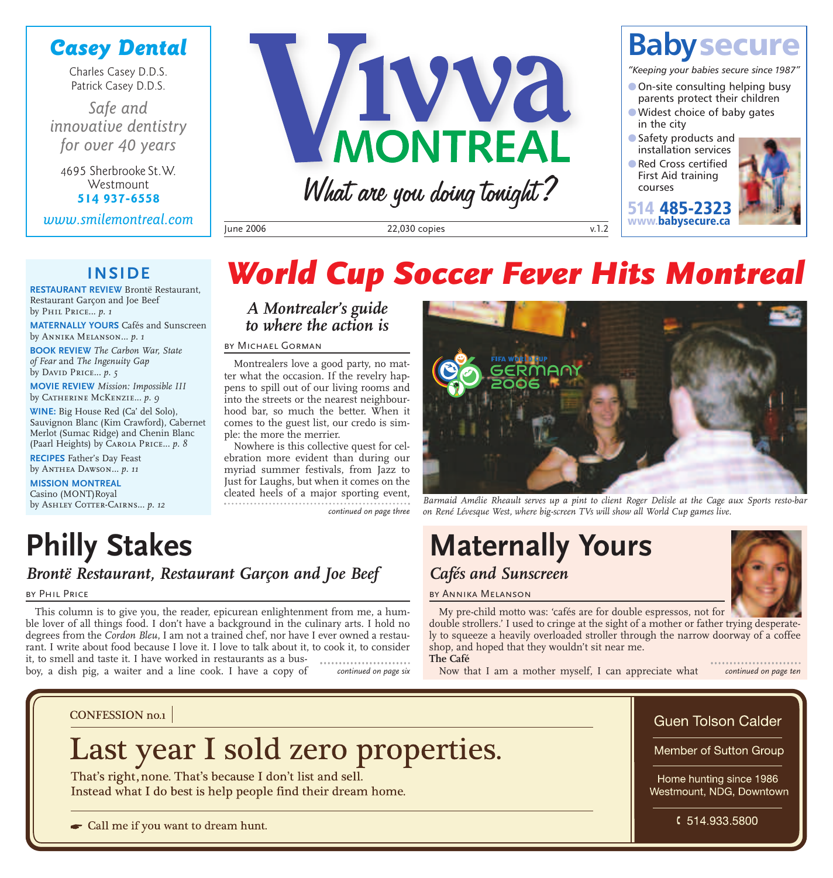## *Casey Dental*

Charles Casey D.D.S. Patrick Casey D.D.S.

*Safe and innovative dentistry for over 40 years*

4695 Sherbrooke St.W. **Westmount 514 937-6558**

*www.smilemontreal.com*



June 2006 22,030 copies v.1.2



*"Keeping your babies secure since 1987"*

- **2** On-site consulting helping busy parents protect their children
- **2**Widest choice of baby gates in the city
- **2**Safety products and installation services
- **2**Red Cross certified First Aid training courses

**514 485-2323 www.babysecure.ca**



### **INSIDE**

**RESTAURANT REVIEW** Brontë Restaurant, Restaurant Garçon and Joe Beef by Phil Price*... p. 1*

**MATERNALLY YOURS** Cafés and Sunscreen by Annika Melanson*... p. 1*

**BOOK REVIEW** *The Carbon War, State of Fear* and *The Ingenuity Gap* by David Price*... p. 5*

**MOVIE REVIEW** *Mission: Impossible III* by Catherine McKenzie*... p. 9*

**WINE:** Big House Red (Ca' del Solo), Sauvignon Blanc (Kim Crawford), Cabernet Merlot (Sumac Ridge) and Chenin Blanc (Paarl Heights) by Carola Price*... p. 8*

**RECIPES** Father's Day Feast by Anthea Dawson*... p. 11*

BY PHIL PRICE

**MISSION MONTREAL** Casino (MONT)Royal by ASHLEY COTTER-CAIRNS... p. 12

**Philly Stakes**

## *World Cup Soccer Fever Hits Montreal*

*A Montrealer's guide to where the action is*

by Michael Gorman

Montrealers love a good party, no matter what the occasion. If the revelry happens to spill out of our living rooms and into the streets or the nearest neighbourhood bar, so much the better. When it comes to the guest list, our credo is simple: the more the merrier.

Nowhere is this collective quest for celebration more evident than during our myriad summer festivals, from Jazz to Just for Laughs, but when it comes on the cleated heels of a major sporting event, *continued on page three*



*Barmaid Amélie Rheault serves up a pint to client Roger Delisle at the Cage aux Sports resto-bar on René Lévesque West, where big-screen TVs will show all World Cup games live.*

## **Maternally Yours** *Cafés and Sunscreen*



by Annika Melanson

My pre-child motto was: 'cafés are for double espressos, not for double strollers.' I used to cringe at the sight of a mother or father trying desperate-

ly to squeeze a heavily overloaded stroller through the narrow doorway of a coffee shop, and hoped that they wouldn't sit near me. **The Café**

Now that I am a mother myself, I can appreciate what *continued on page six continued on page ten*

**CONFESSION** no.1

## Last year I sold zero properties.

That's right, none. That's because I don't list and sell. Instead what I do best is help people find their dream home.

*Brontë Restaurant, Restaurant Garçon and Joe Beef*

This column is to give you, the reader, epicurean enlightenment from me, a humble lover of all things food. I don't have a background in the culinary arts. I hold no degrees from the *Cordon Bleu*, I am not a trained chef, nor have I ever owned a restaurant. I write about food because I love it. I love to talk about it, to cook it, to consider it, to smell and taste it. I have worked in restaurants as a bus-

Call me if you want to dream hunt.

boy, a dish pig, a waiter and a line cook. I have a copy of

Guen Tolson Calder

Member of Sutton Group

Home hunting since 1986 Westmount, NDG, Downtown

 $$514.933.5800$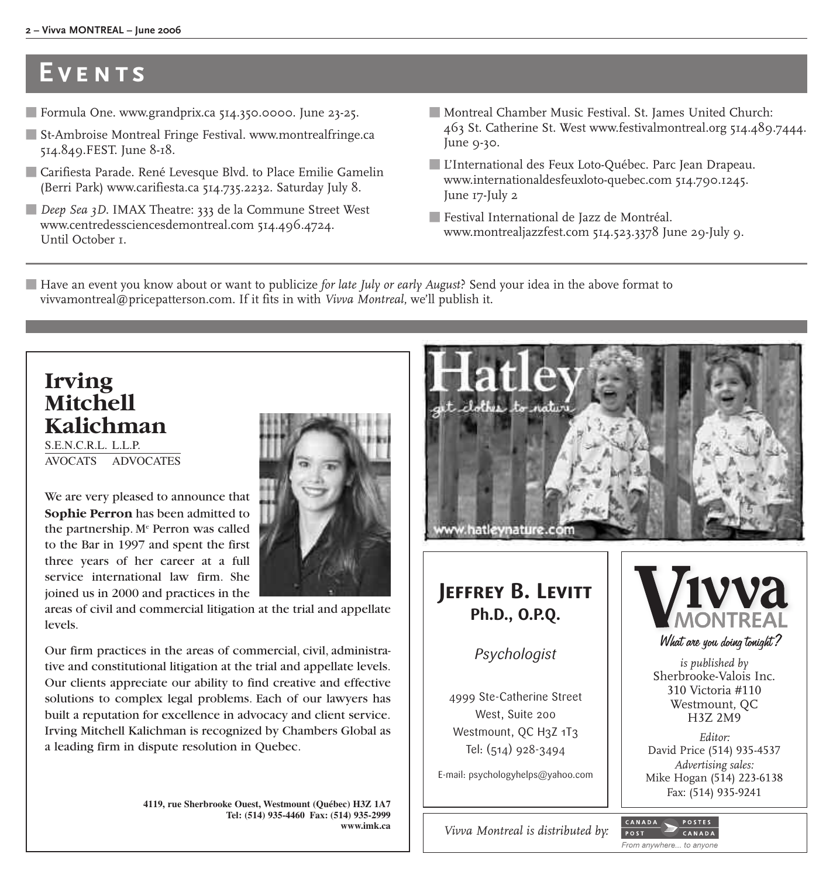#### **2 – Vivva MONTREAL – June 2006**

## **Events**

- **5** Formula One. www.grandprix.ca 514.350.0000. June 23-25.
- **5** St-Ambroise Montreal Fringe Festival. www.montrealfringe.ca 514.849.FEST. June 8-18.
- **5** Carifiesta Parade. René Levesque Blvd. to Place Emilie Gamelin (Berri Park) www.carifiesta.ca 514.735.2232. Saturday July 8.
- **5** *Deep Sea 3D*. IMAX Theatre: 333 de la Commune Street West www.centredessciencesdemontreal.com 514.496.4724. Until October 1.
- **5** Montreal Chamber Music Festival. St. James United Church: 463 St. Catherine St. West www.festivalmontreal.org 514.489.7444. June 9-30.
- **5** L'International des Feux Loto-Québec. Parc Jean Drapeau. www.internationaldesfeuxloto-quebec.com 514.790.1245. June 17-July 2
- **5** Festival International de Jazz de Montréal. www.montrealjazzfest.com 514.523.3378 June 29-July 9.

**5** Have an event you know about or want to publicize *for late July or early August*? Send your idea in the above format to vivvamontreal@pricepatterson.com. If it fits in with *Vivva Montreal*, we'll publish it.

## **Irving Mitchell Kalichman**

S.E.N.C.R.L. L.L.P. AVOCATS ADVOCATES

We are very pleased to announce that **Sophie Perron** has been admitted to the partnership. Me Perron was called to the Bar in 1997 and spent the first three years of her career at a full service international law firm. She joined us in 2000 and practices in the



areas of civil and commercial litigation at the trial and appellate levels.

Our firm practices in the areas of commercial, civil, administrative and constitutional litigation at the trial and appellate levels. Our clients appreciate our ability to find creative and effective solutions to complex legal problems. Each of our lawyers has built a reputation for excellence in advocacy and client service. Irving Mitchell Kalichman is recognized by Chambers Global as a leading firm in dispute resolution in Quebec.

> **4119, rue Sherbrooke Ouest, Westmount (Québec) H3Z 1A7 Tel: (514) 935-4460 Fax: (514) 935-2999 www.imk.ca**



From anywhere... to anyone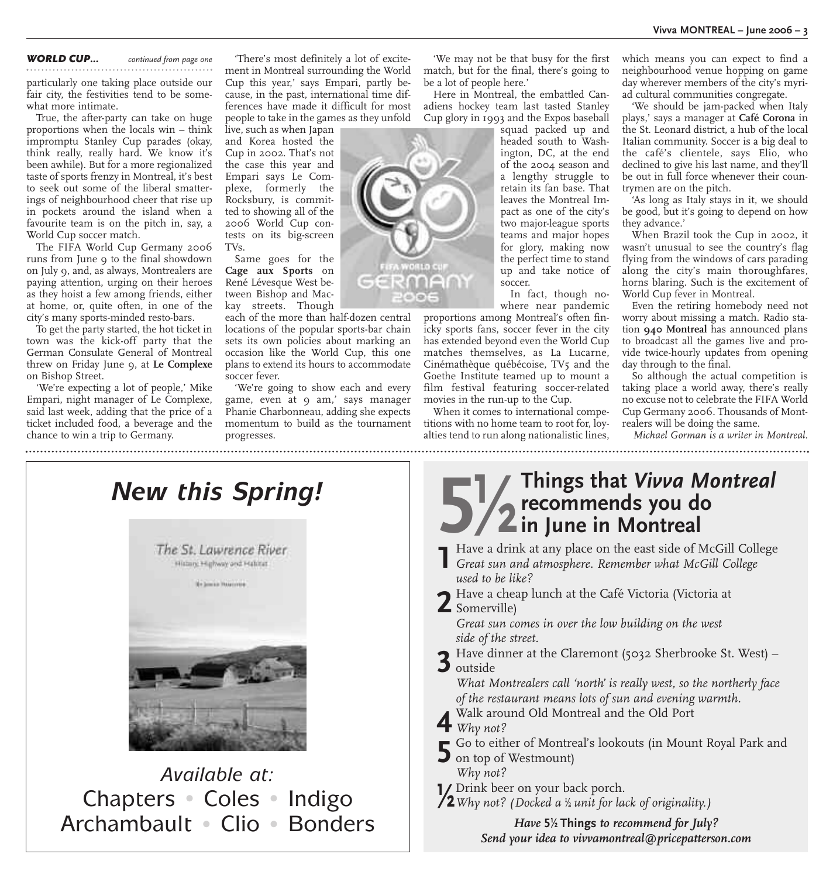*WORLD CUP... continued from page one*

particularly one taking place outside our fair city, the festivities tend to be somewhat more intimate.

True, the after-party can take on huge proportions when the locals win – think impromptu Stanley Cup parades (okay, think really, really hard. We know it's been awhile). But for a more regionalized taste of sports frenzy in Montreal, it's best to seek out some of the liberal smatterings of neighbourhood cheer that rise up in pockets around the island when a favourite team is on the pitch in, say, a World Cup soccer match.

The FIFA World Cup Germany 2006 runs from June 9 to the final showdown on July 9, and, as always, Montrealers are paying attention, urging on their heroes as they hoist a few among friends, either at home, or, quite often, in one of the city's many sports-minded resto-bars.

To get the party started, the hot ticket in town was the kick-off party that the German Consulate General of Montreal threw on Friday June 9, at **Le Complexe** on Bishop Street.

'We're expecting a lot of people,' Mike Empari, night manager of Le Complexe, said last week, adding that the price of a ticket included food, a beverage and the chance to win a trip to Germany.

'There's most definitely a lot of excitement in Montreal surrounding the World Cup this year,' says Empari, partly because, in the past, international time differences have made it difficult for most people to take in the games as they unfold

live, such as when Japan and Korea hosted the Cup in 2002. That's not the case this year and Empari says Le Complexe, formerly the Rocksbury, is committed to showing all of the 2006 World Cup contests on its big-screen TVs.

Same goes for the **Cage aux Sports** on René Lévesque West between Bishop and Mackay streets. Though

each of the more than half-dozen central locations of the popular sports-bar chain sets its own policies about marking an occasion like the World Cup, this one plans to extend its hours to accommodate soccer fever.

'We're going to show each and every game, even at 9 am,' says manager Phanie Charbonneau, adding she expects momentum to build as the tournament progresses.

'We may not be that busy for the first match, but for the final, there's going to be a lot of people here.'

Here in Montreal, the embattled Canadiens hockey team last tasted Stanley Cup glory in 1993 and the Expos baseball

squad packed up and headed south to Washington, DC, at the end of the 2004 season and a lengthy struggle to retain its fan base. That leaves the Montreal Impact as one of the city's two major-league sports teams and major hopes for glory, making now the perfect time to stand up and take notice of soccer.

In fact, though nowhere near pandemic

proportions among Montreal's often finicky sports fans, soccer fever in the city has extended beyond even the World Cup matches themselves, as La Lucarne, Cinémathèque québécoise, TV5 and the Goethe Institute teamed up to mount a film festival featuring soccer-related movies in the run-up to the Cup.

When it comes to international competitions with no home team to root for, loyalties tend to run along nationalistic lines, which means you can expect to find a neighbourhood venue hopping on game day wherever members of the city's myriad cultural communities congregate.

'We should be jam-packed when Italy plays,' says a manager at **Café Corona** in the St. Leonard district, a hub of the local Italian community. Soccer is a big deal to the café's clientele, says Elio, who declined to give his last name, and they'll be out in full force whenever their countrymen are on the pitch.

'As long as Italy stays in it, we should be good, but it's going to depend on how they advance.'

When Brazil took the Cup in 2002, it wasn't unusual to see the country's flag flying from the windows of cars parading along the city's main thoroughfares, horns blaring. Such is the excitement of World Cup fever in Montreal.

Even the retiring homebody need not worry about missing a match. Radio station **940 Montreal** has announced plans to broadcast all the games live and provide twice-hourly updates from opening day through to the final.

So although the actual competition is taking place a world away, there's really no excuse not to celebrate the FIFA World Cup Germany 2006. Thousands of Montrealers will be doing the same.

*Michael Gorman is a writer in Montreal.*

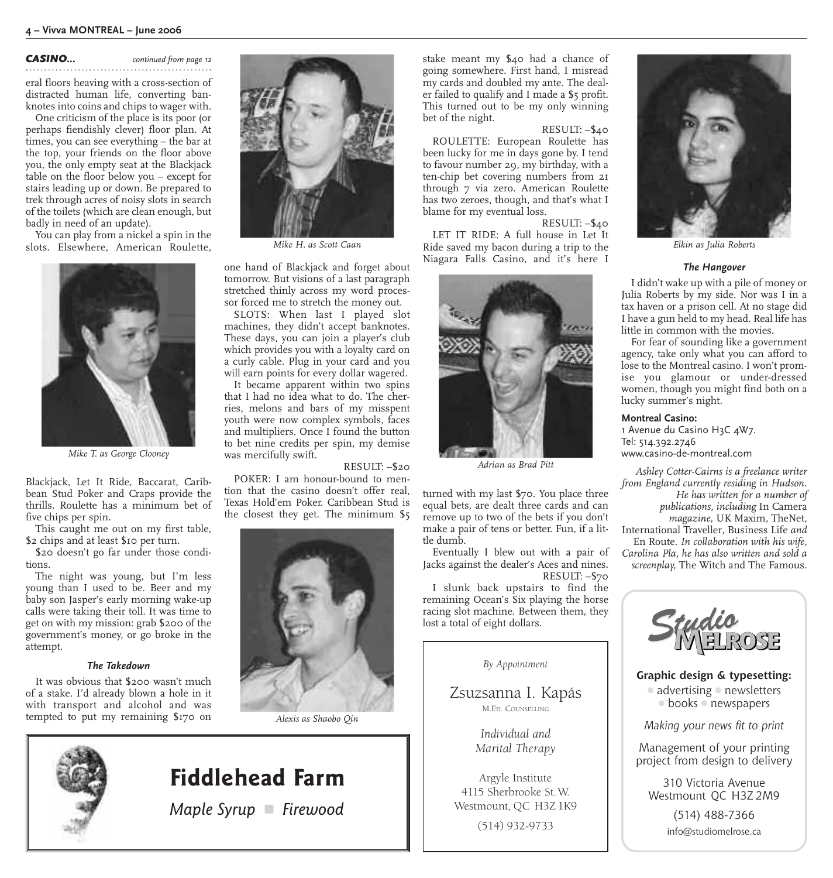*CASINO... continued from page 12*

eral floors heaving with a cross-section of distracted human life, converting banknotes into coins and chips to wager with.

One criticism of the place is its poor (or perhaps fiendishly clever) floor plan. At times, you can see everything – the bar at the top, your friends on the floor above you, the only empty seat at the Blackjack table on the floor below you – except for stairs leading up or down. Be prepared to trek through acres of noisy slots in search of the toilets (which are clean enough, but badly in need of an update).

You can play from a nickel a spin in the slots. Elsewhere, American Roulette,



*Mike T. as George Clooney*

Blackjack, Let It Ride, Baccarat, Caribbean Stud Poker and Craps provide the thrills. Roulette has a minimum bet of five chips per spin.

This caught me out on my first table, \$2 chips and at least \$10 per turn.

\$20 doesn't go far under those conditions.

The night was young, but I'm less young than I used to be. Beer and my baby son Jasper's early morning wake-up calls were taking their toll. It was time to get on with my mission: grab \$200 of the government's money, or go broke in the attempt.

#### *The Takedown*

It was obvious that \$200 wasn't much of a stake. I'd already blown a hole in it with transport and alcohol and was tempted to put my remaining \$170 on



one hand of Blackjack and forget about tomorrow. But visions of a last paragraph stretched thinly across my word processor forced me to stretch the money out.

SLOTS: When last I played slot machines, they didn't accept banknotes. These days, you can join a player's club which provides you with a loyalty card on a curly cable. Plug in your card and you will earn points for every dollar wagered.

It became apparent within two spins that I had no idea what to do. The cherries, melons and bars of my misspent youth were now complex symbols, faces and multipliers. Once I found the button to bet nine credits per spin, my demise was mercifully swift.

RESULT: –\$20

POKER: I am honour-bound to mention that the casino doesn't offer real, Texas Hold'em Poker. Caribbean Stud is the closest they get. The minimum \$5



*Alexis as Shaobo Qin*

stake meant my \$40 had a chance of going somewhere. First hand, I misread my cards and doubled my ante. The dealer failed to qualify and I made a \$5 profit. This turned out to be my only winning bet of the night.

#### RESULT: –\$40

ROULETTE: European Roulette has been lucky for me in days gone by. I tend to favour number 29, my birthday, with a ten-chip bet covering numbers from 21 through 7 via zero. American Roulette has two zeroes, though, and that's what I blame for my eventual loss.

RESULT: –\$40 LET IT RIDE: A full house in Let It Ride saved my bacon during a trip to the *Mike H. as Scott Caan Elkin as Julia Roberts* Niagara Falls Casino, and it's here I



*Adrian as Brad Pitt*

turned with my last \$70. You place three equal bets, are dealt three cards and can remove up to two of the bets if you don't make a pair of tens or better. Fun, if a little dumb.

Eventually I blew out with a pair of Jacks against the dealer's Aces and nines. RESULT: –\$70

I slunk back upstairs to find the remaining Ocean's Six playing the horse racing slot machine. Between them, they lost a total of eight dollars.

*By Appointment*

Zsuzsanna I. Kapás M.ED. COUNSELLING

> *Individual and Marital Therapy*

Argyle Institute 4115 Sherbrooke St.W. Westmount, QC H3Z 1K9

(514) 932-9733



#### *The Hangover*

I didn't wake up with a pile of money or Julia Roberts by my side. Nor was I in a tax haven or a prison cell. At no stage did I have a gun held to my head. Real life has little in common with the movies.

For fear of sounding like a government agency, take only what you can afford to lose to the Montreal casino. I won't promise you glamour or under-dressed women, though you might find both on a lucky summer's night.

#### **Montreal Casino:**

1 Avenue du Casino H3C 4W7. Tel: 514.392.2746 www.casino-de-montreal.com

*Ashley Cotter-Cairns is a freelance writer from England currently residing in Hudson. He has written for a number of publications, including* In Camera *magazine,* UK Maxim*,* TheNet*,* International Traveller*,* Business Life *and* En Route*. In collaboration with his wife, Carolina Pla, he has also written and sold a screenplay,* The Witch and The Famous*.*



**Graphic design & typesetting:**

**1** advertising **1** newsletters **1** books **1** newspapers

*Making your news fit to print*

Management of your printing project from design to delivery

310 Victoria Avenue Westmount QC H3Z 2M9

> (514) 488-7366 info@studiomelrose.ca



## **Fiddlehead Farm**

*Maple Syrup* **4** *Firewood*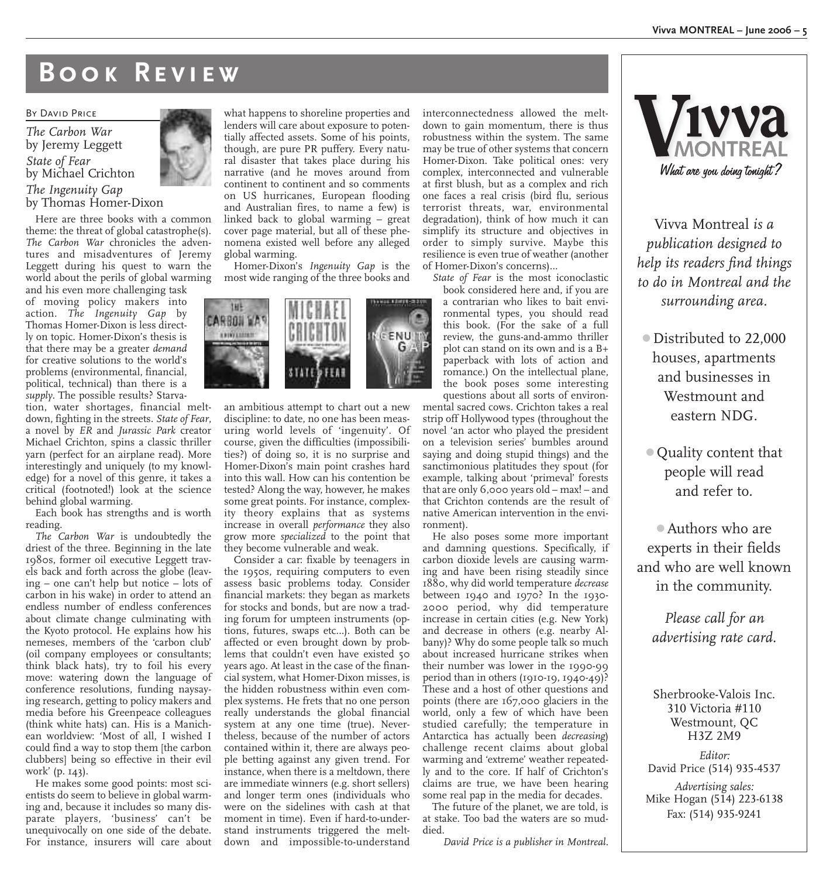## **Book Review**

#### BY DAVID PRICE

*The Carbon War* by Jeremy Leggett *State of Fear* by Michael Crichton *The Ingenuity Gap*

by Thomas Homer-Dixon

Here are three books with a common theme: the threat of global catastrophe(s). *The Carbon War* chronicles the adventures and misadventures of Jeremy Leggett during his quest to warn the world about the perils of global warming

and his even more challenging task of moving policy makers into action. *The Ingenuity Gap* by Thomas Homer-Dixon is less directly on topic. Homer-Dixon's thesis is that there may be a greater *demand* for creative solutions to the world's problems (environmental, financial, political, technical) than there is a *supply*. The possible results? Starva-

tion, water shortages, financial meltdown, fighting in the streets. *State of Fear*, a novel by *ER* and *Jurassic Park* creator Michael Crichton, spins a classic thriller yarn (perfect for an airplane read). More interestingly and uniquely (to my knowledge) for a novel of this genre, it takes a critical (footnoted!) look at the science behind global warming.

Each book has strengths and is worth reading.

*The Carbon War* is undoubtedly the driest of the three. Beginning in the late 1980s, former oil executive Leggett travels back and forth across the globe (leaving – one can't help but notice – lots of carbon in his wake) in order to attend an endless number of endless conferences about climate change culminating with the Kyoto protocol. He explains how his nemeses, members of the 'carbon club' (oil company employees or consultants; think black hats), try to foil his every move: watering down the language of conference resolutions, funding naysaying research, getting to policy makers and media before his Greenpeace colleagues (think white hats) can. His is a Manichean worldview: 'Most of all, I wished I could find a way to stop them [the carbon clubbers] being so effective in their evil work' (p. 143).

He makes some good points: most scientists do seem to believe in global warming and, because it includes so many disparate players, 'business' can't be unequivocally on one side of the debate. For instance, insurers will care about

what happens to shoreline properties and lenders will care about exposure to potentially affected assets. Some of his points, though, are pure PR puffery. Every natural disaster that takes place during his narrative (and he moves around from continent to continent and so comments on US hurricanes, European flooding and Australian fires, to name a few) is linked back to global warming – great cover page material, but all of these phenomena existed well before any alleged global warming.

Homer-Dixon's *Ingenuity Gap* is the most wide ranging of the three books and

an ambitious attempt to chart out a new discipline: to date, no one has been measuring world levels of 'ingenuity'. Of course, given the difficulties (impossibilities?) of doing so, it is no surprise and Homer-Dixon's main point crashes hard into this wall. How can his contention be tested? Along the way, however, he makes some great points. For instance, complexity theory explains that as systems increase in overall *performance* they also grow more *specialized* to the point that they become vulnerable and weak.

Consider a car: fixable by teenagers in the 1950s, requiring computers to even assess basic problems today. Consider financial markets: they began as markets for stocks and bonds, but are now a trading forum for umpteen instruments (options, futures, swaps etc…). Both can be affected or even brought down by problems that couldn't even have existed 50 years ago. At least in the case of the financial system, what Homer-Dixon misses, is the hidden robustness within even complex systems. He frets that no one person really understands the global financial system at any one time (true). Nevertheless, because of the number of actors contained within it, there are always people betting against any given trend. For instance, when there is a meltdown, there are immediate winners (e.g. short sellers) and longer term ones (individuals who were on the sidelines with cash at that moment in time). Even if hard-to-understand instruments triggered the meltdown and impossible-to-understand

interconnectedness allowed the meltdown to gain momentum, there is thus robustness within the system. The same may be true of other systems that concern Homer-Dixon. Take political ones: very complex, interconnected and vulnerable at first blush, but as a complex and rich one faces a real crisis (bird flu, serious terrorist threats, war, environmental degradation), think of how much it can simplify its structure and objectives in order to simply survive. Maybe this resilience is even true of weather (another of Homer-Dixon's concerns)…

*State of Fear* is the most iconoclastic

book considered here and, if you are a contrarian who likes to bait environmental types, you should read this book. (For the sake of a full review, the guns-and-ammo thriller plot can stand on its own and is a B+ paperback with lots of action and romance.) On the intellectual plane, the book poses some interesting questions about all sorts of environ-

mental sacred cows. Crichton takes a real strip off Hollywood types (throughout the novel 'an actor who played the president on a television series' bumbles around saying and doing stupid things) and the sanctimonious platitudes they spout (for example, talking about 'primeval' forests that are only  $6,000$  years old – max! – and that Crichton contends are the result of native American intervention in the environment).

He also poses some more important and damning questions. Specifically, if carbon dioxide levels are causing warming and have been rising steadily since 1880, why did world temperature *decrease* between 1940 and 1970? In the 1930- 2000 period, why did temperature increase in certain cities (e.g. New York) and decrease in others (e.g. nearby Albany)? Why do some people talk so much about increased hurricane strikes when their number was lower in the 1990-99 period than in others (1910-19, 1940-49)? These and a host of other questions and points (there are 167,000 glaciers in the world, only a few of which have been studied carefully; the temperature in Antarctica has actually been *decreasing*) challenge recent claims about global warming and 'extreme' weather repeatedly and to the core. If half of Crichton's claims are true, we have been hearing some real pap in the media for decades.

The future of the planet, we are told, is at stake. Too bad the waters are so muddied.

*David Price is a publisher in Montreal.*



Vivva Montreal *is a publication designed to help its readers find things to do in Montreal and the surrounding area.*

**1** Distributed to 22,000 houses, apartments and businesses in Westmount and eastern NDG.

**1** Quality content that people will read and refer to.

**1**Authors who are experts in their fields and who are well known in the community.

*Please call for an advertising rate card.*

Sherbrooke-Valois Inc. 310 Victoria #110 Westmount, QC H3Z 2M9

*Editor:* David Price (514) 935-4537 *Advertising sales:* Mike Hogan (514) 223-6138 Fax: (514) 935-9241



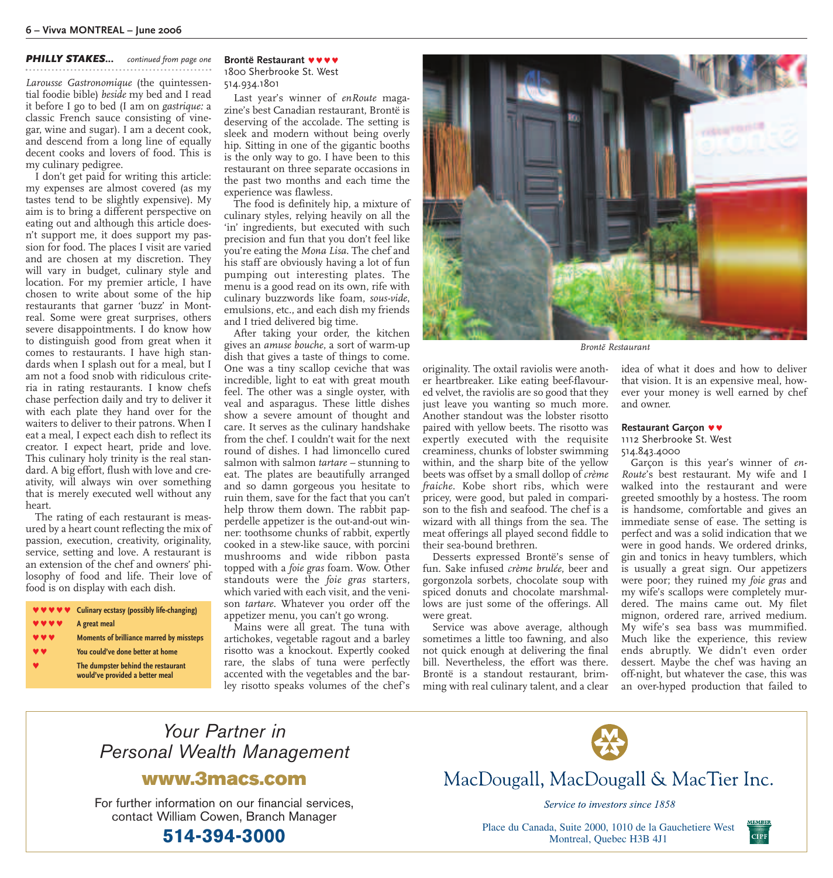#### *PHILLY STAKES... continued from page one*

*Larousse Gastronomique* (the quintessential foodie bible) *beside* my bed and I read it before I go to bed (I am on *gastrique:* a classic French sauce consisting of vinegar, wine and sugar). I am a decent cook, and descend from a long line of equally decent cooks and lovers of food. This is my culinary pedigree.

I don't get paid for writing this article: my expenses are almost covered (as my tastes tend to be slightly expensive). My aim is to bring a different perspective on eating out and although this article doesn't support me, it does support my passion for food. The places I visit are varied and are chosen at my discretion. They will vary in budget, culinary style and location. For my premier article, I have chosen to write about some of the hip restaurants that garner 'buzz' in Montreal. Some were great surprises, others severe disappointments. I do know how to distinguish good from great when it comes to restaurants. I have high standards when I splash out for a meal, but I am not a food snob with ridiculous criteria in rating restaurants. I know chefs chase perfection daily and try to deliver it with each plate they hand over for the waiters to deliver to their patrons. When I eat a meal, I expect each dish to reflect its creator. I expect heart, pride and love. This culinary holy trinity is the real standard. A big effort, flush with love and creativity, will always win over something that is merely executed well without any heart.

The rating of each restaurant is measured by a heart count reflecting the mix of passion, execution, creativity, originality, service, setting and love. A restaurant is an extension of the chef and owners' philosophy of food and life. Their love of food is on display with each dish.

**Culinary ecstasy (possibly life-changing) A** great meal **Moments of brilliance marred by missteps** You could've done better at home **Ô The dumpster behind the restaurant would've provided a better meal**

#### **Brontë Restaurant VVV** 1800 Sherbrooke St. West 514.934.1801

Last year's winner of *enRoute* magazine's best Canadian restaurant, Brontë is deserving of the accolade. The setting is sleek and modern without being overly hip. Sitting in one of the gigantic booths is the only way to go. I have been to this restaurant on three separate occasions in the past two months and each time the experience was flawless.

The food is definitely hip, a mixture of culinary styles, relying heavily on all the 'in' ingredients, but executed with such precision and fun that you don't feel like you're eating the *Mona Lisa*. The chef and his staff are obviously having a lot of fun pumping out interesting plates. The menu is a good read on its own, rife with culinary buzzwords like foam, *sous-vide*, emulsions, etc., and each dish my friends and I tried delivered big time.

After taking your order, the kitchen gives an *amuse bouche*, a sort of warm-up dish that gives a taste of things to come. One was a tiny scallop ceviche that was incredible, light to eat with great mouth feel. The other was a single oyster, with veal and asparagus. These little dishes show a severe amount of thought and care. It serves as the culinary handshake from the chef. I couldn't wait for the next round of dishes. I had limoncello cured salmon with salmon *tartare –* stunning to eat. The plates are beautifully arranged and so damn gorgeous you hesitate to ruin them, save for the fact that you can't help throw them down. The rabbit papperdelle appetizer is the out-and-out winner: toothsome chunks of rabbit, expertly cooked in a stew-like sauce, with porcini mushrooms and wide ribbon pasta topped with a *foie gras* foam. Wow. Other standouts were the *foie gras* starters, which varied with each visit, and the venison *tartare*. Whatever you order off the appetizer menu, you can't go wrong.

Mains were all great. The tuna with artichokes, vegetable ragout and a barley risotto was a knockout. Expertly cooked rare, the slabs of tuna were perfectly accented with the vegetables and the barley risotto speaks volumes of the chef's



*Brontë Restaurant*

originality. The oxtail raviolis were another heartbreaker. Like eating beef-flavoured velvet, the raviolis are so good that they just leave you wanting so much more. Another standout was the lobster risotto paired with yellow beets. The risotto was expertly executed with the requisite creaminess, chunks of lobster swimming within, and the sharp bite of the yellow beets was offset by a small dollop of *crème fraiche*. Kobe short ribs, which were pricey, were good, but paled in comparison to the fish and seafood. The chef is a wizard with all things from the sea. The meat offerings all played second fiddle to their sea-bound brethren.

Desserts expressed Brontë's sense of fun. Sake infused *crème brulée*, beer and gorgonzola sorbets, chocolate soup with spiced donuts and chocolate marshmallows are just some of the offerings. All were great.

Service was above average, although sometimes a little too fawning, and also not quick enough at delivering the final bill. Nevertheless, the effort was there. Brontë is a standout restaurant, brimming with real culinary talent, and a clear idea of what it does and how to deliver that vision. It is an expensive meal, however your money is well earned by chef and owner.

#### **Restaurant Garcon**  $\triangledown$

1112 Sherbrooke St. West 514.843.4000

Garçon is this year's winner of *en-Route*'s best restaurant. My wife and I walked into the restaurant and were greeted smoothly by a hostess. The room is handsome, comfortable and gives an immediate sense of ease. The setting is perfect and was a solid indication that we were in good hands. We ordered drinks, gin and tonics in heavy tumblers, which is usually a great sign. Our appetizers were poor; they ruined my *foie gras* and my wife's scallops were completely murdered. The mains came out. My filet mignon, ordered rare, arrived medium. My wife's sea bass was mummified. Much like the experience, this review ends abruptly. We didn't even order dessert. Maybe the chef was having an off-night, but whatever the case, this was an over-hyped production that failed to

CIPF



### **www.3macs.com**

For further information on our financial services, contact William Cowen, Branch Manager

MacDougall, MacDougall & MacTier Inc.

Service to investors since 1858

**514-394-3000** Place du Canada, Suite 2000, 1010 de la Gauchetiere West<br>Montreal, Quebec H3B 411 Montreal, Quebec H3B 4J1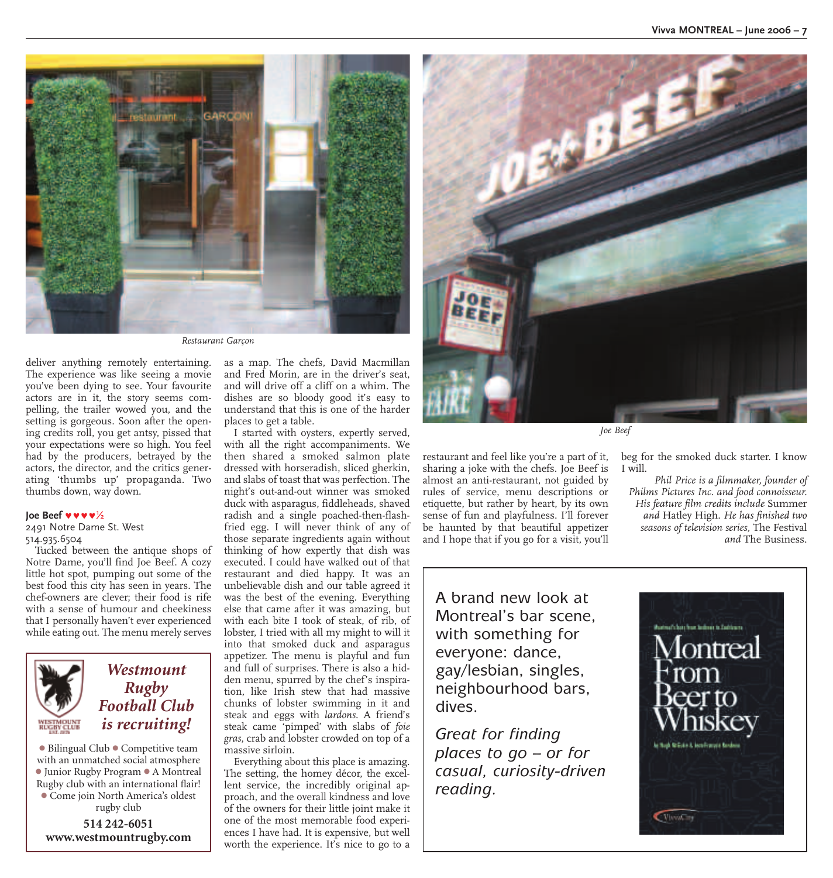

*Restaurant Garçon*

deliver anything remotely entertaining. The experience was like seeing a movie you've been dying to see. Your favourite actors are in it, the story seems compelling, the trailer wowed you, and the setting is gorgeous. Soon after the opening credits roll, you get antsy, pissed that your expectations were so high. You feel had by the producers, betrayed by the actors, the director, and the critics generating 'thumbs up' propaganda. Two thumbs down, way down.

#### **Joe Beef v v v**  $\frac{1}{2}$

2491 Notre Dame St. West 514.935.6504

Tucked between the antique shops of Notre Dame, you'll find Joe Beef. A cozy little hot spot, pumping out some of the best food this city has seen in years. The chef-owners are clever; their food is rife with a sense of humour and cheekiness that I personally haven't ever experienced while eating out. The menu merely serves



### *Westmount Rugby Football Club is recruiting!*

**1** Bilingual Club **1** Competitive team with an unmatched social atmosphere **1** Junior Rugby Program **1** A Montreal Rugby club with an international flair! **1** Come join North America's oldest rugby club

**514 242-6051 www.westmountrugby.com** as a map. The chefs, David Macmillan and Fred Morin, are in the driver's seat, and will drive off a cliff on a whim. The dishes are so bloody good it's easy to understand that this is one of the harder places to get a table.

I started with oysters, expertly served, with all the right accompaniments. We then shared a smoked salmon plate dressed with horseradish, sliced gherkin, and slabs of toast that was perfection. The night's out-and-out winner was smoked duck with asparagus, fiddleheads, shaved radish and a single poached-then-flashfried egg. I will never think of any of those separate ingredients again without thinking of how expertly that dish was executed. I could have walked out of that restaurant and died happy. It was an unbelievable dish and our table agreed it was the best of the evening. Everything else that came after it was amazing, but with each bite I took of steak, of rib, of lobster, I tried with all my might to will it into that smoked duck and asparagus appetizer. The menu is playful and fun and full of surprises. There is also a hidden menu, spurred by the chef's inspiration, like Irish stew that had massive chunks of lobster swimming in it and steak and eggs with *lardons*. A friend's steak came 'pimped' with slabs of *foie gras*, crab and lobster crowded on top of a massive sirloin.

Everything about this place is amazing. The setting, the homey décor, the excellent service, the incredibly original approach, and the overall kindness and love of the owners for their little joint make it one of the most memorable food experiences I have had. It is expensive, but well worth the experience. It's nice to go to a



*Joe Beef*

restaurant and feel like you're a part of it, sharing a joke with the chefs. Joe Beef is almost an anti-restaurant, not guided by rules of service, menu descriptions or etiquette, but rather by heart, by its own sense of fun and playfulness. I'll forever be haunted by that beautiful appetizer and I hope that if you go for a visit, you'll

beg for the smoked duck starter. I know I will.

*Phil Price is a filmmaker, founder of Philms Pictures Inc. and food connoisseur. His feature film credits include* Summer *and* Hatley High. *He has finished two seasons of television series,* The Festival *and* The Business.

A brand new look at Montreal's bar scene, with something for everyone: dance, gay/lesbian, singles, neighbourhood bars, dives.

*Great for finding places to go – or for casual, curiosity-driven reading.*

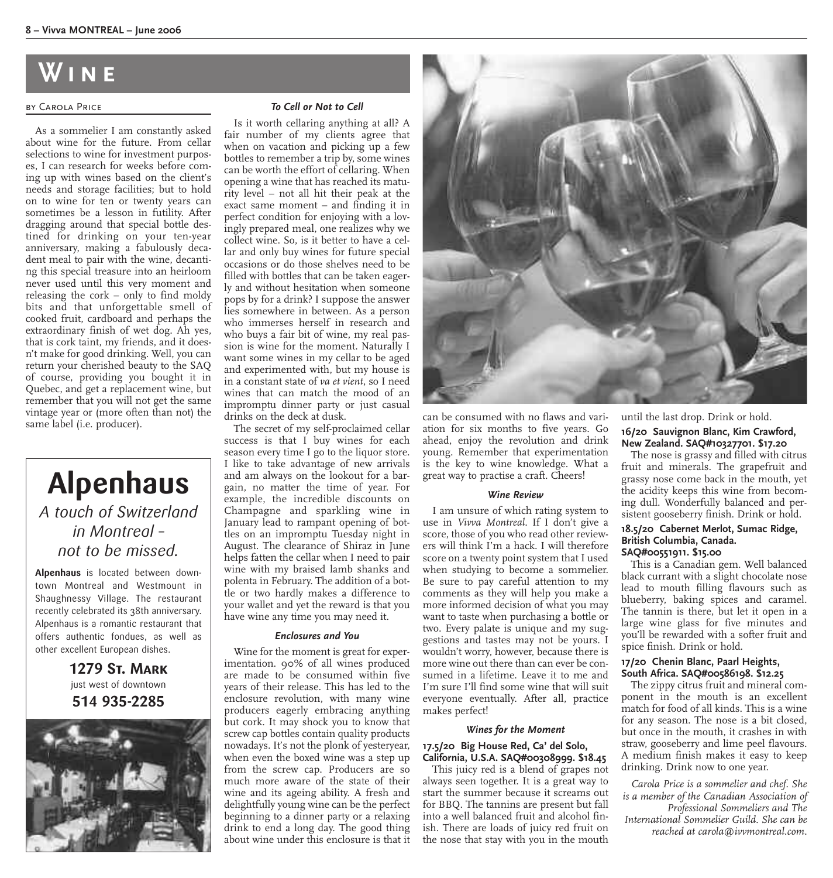## **Wine**

#### by Carola Price

As a sommelier I am constantly asked about wine for the future. From cellar selections to wine for investment purposes, I can research for weeks before coming up with wines based on the client's needs and storage facilities; but to hold on to wine for ten or twenty years can sometimes be a lesson in futility. After dragging around that special bottle destined for drinking on your ten-year anniversary, making a fabulously decadent meal to pair with the wine, decanting this special treasure into an heirloom never used until this very moment and releasing the cork – only to find moldy bits and that unforgettable smell of cooked fruit, cardboard and perhaps the extraordinary finish of wet dog. Ah yes, that is cork taint, my friends, and it doesn't make for good drinking. Well, you can return your cherished beauty to the SAQ of course, providing you bought it in Quebec, and get a replacement wine, but remember that you will not get the same vintage year or (more often than not) the same label (i.e. producer).

## **Alpenhaus** *A touch of Switzerland in Montreal – not to be missed.*

**Alpenhaus** is located between downtown Montreal and Westmount in Shaughnessy Village. The restaurant recently celebrated its 38th anniversary. Alpenhaus is a romantic restaurant that offers authentic fondues, as well as other excellent European dishes.

> **1279 St. Mark** just west of downtown **514 935-2285**



#### *To Cell or Not to Cell*

Is it worth cellaring anything at all? A fair number of my clients agree that when on vacation and picking up a few bottles to remember a trip by, some wines can be worth the effort of cellaring. When opening a wine that has reached its maturity level – not all hit their peak at the exact same moment – and finding it in perfect condition for enjoying with a lovingly prepared meal, one realizes why we collect wine. So, is it better to have a cellar and only buy wines for future special occasions or do those shelves need to be filled with bottles that can be taken eagerly and without hesitation when someone pops by for a drink? I suppose the answer lies somewhere in between. As a person who immerses herself in research and who buys a fair bit of wine, my real passion is wine for the moment. Naturally I want some wines in my cellar to be aged and experimented with, but my house is in a constant state of *va et vient*, so I need wines that can match the mood of an impromptu dinner party or just casual drinks on the deck at dusk.

The secret of my self-proclaimed cellar success is that I buy wines for each season every time I go to the liquor store. I like to take advantage of new arrivals and am always on the lookout for a bargain, no matter the time of year. For example, the incredible discounts on Champagne and sparkling wine in January lead to rampant opening of bottles on an impromptu Tuesday night in August. The clearance of Shiraz in June helps fatten the cellar when I need to pair wine with my braised lamb shanks and polenta in February. The addition of a bottle or two hardly makes a difference to your wallet and yet the reward is that you have wine any time you may need it.

#### *Enclosures and You*

Wine for the moment is great for experimentation. 90% of all wines produced are made to be consumed within five years of their release. This has led to the enclosure revolution, with many wine producers eagerly embracing anything but cork. It may shock you to know that screw cap bottles contain quality products nowadays. It's not the plonk of yesteryear, when even the boxed wine was a step up from the screw cap. Producers are so much more aware of the state of their wine and its ageing ability. A fresh and delightfully young wine can be the perfect beginning to a dinner party or a relaxing drink to end a long day. The good thing about wine under this enclosure is that it



can be consumed with no flaws and variation for six months to five years. Go ahead, enjoy the revolution and drink young. Remember that experimentation is the key to wine knowledge. What a great way to practise a craft. Cheers!

#### *Wine Review*

I am unsure of which rating system to use in *Vivva Montreal*. If I don't give a score, those of you who read other reviewers will think I'm a hack. I will therefore score on a twenty point system that I used when studying to become a sommelier. Be sure to pay careful attention to my comments as they will help you make a more informed decision of what you may want to taste when purchasing a bottle or two. Every palate is unique and my suggestions and tastes may not be yours. I wouldn't worry, however, because there is more wine out there than can ever be consumed in a lifetime. Leave it to me and I'm sure I'll find some wine that will suit everyone eventually. After all, practice makes perfect!

#### *Wines for the Moment*

#### **17.5/20 Big House Red, Ca' del Solo, California, U.S.A. SAQ#00308999. \$18.45**

This juicy red is a blend of grapes not always seen together. It is a great way to start the summer because it screams out for BBQ. The tannins are present but fall into a well balanced fruit and alcohol finish. There are loads of juicy red fruit on the nose that stay with you in the mouth

until the last drop. Drink or hold. **16/20 Sauvignon Blanc, Kim Crawford, New Zealand. SAQ#10327701. \$17.20**

The nose is grassy and filled with citrus fruit and minerals. The grapefruit and grassy nose come back in the mouth, yet the acidity keeps this wine from becoming dull. Wonderfully balanced and persistent gooseberry finish. Drink or hold.

#### **18.5/20 Cabernet Merlot, Sumac Ridge, British Columbia, Canada. SAQ#00551911. \$15.00**

This is a Canadian gem. Well balanced black currant with a slight chocolate nose lead to mouth filling flavours such as blueberry, baking spices and caramel. The tannin is there, but let it open in a large wine glass for five minutes and you'll be rewarded with a softer fruit and spice finish. Drink or hold.

#### **17/20 Chenin Blanc, Paarl Heights, South Africa. SAQ#00586198. \$12.25**

The zippy citrus fruit and mineral component in the mouth is an excellent match for food of all kinds. This is a wine for any season. The nose is a bit closed, but once in the mouth, it crashes in with straw, gooseberry and lime peel flavours. A medium finish makes it easy to keep drinking. Drink now to one year.

*Carola Price is a sommelier and chef. She is a member of the Canadian Association of Professional Sommeliers and The International Sommelier Guild. She can be reached at carola@ivvmontreal.com.*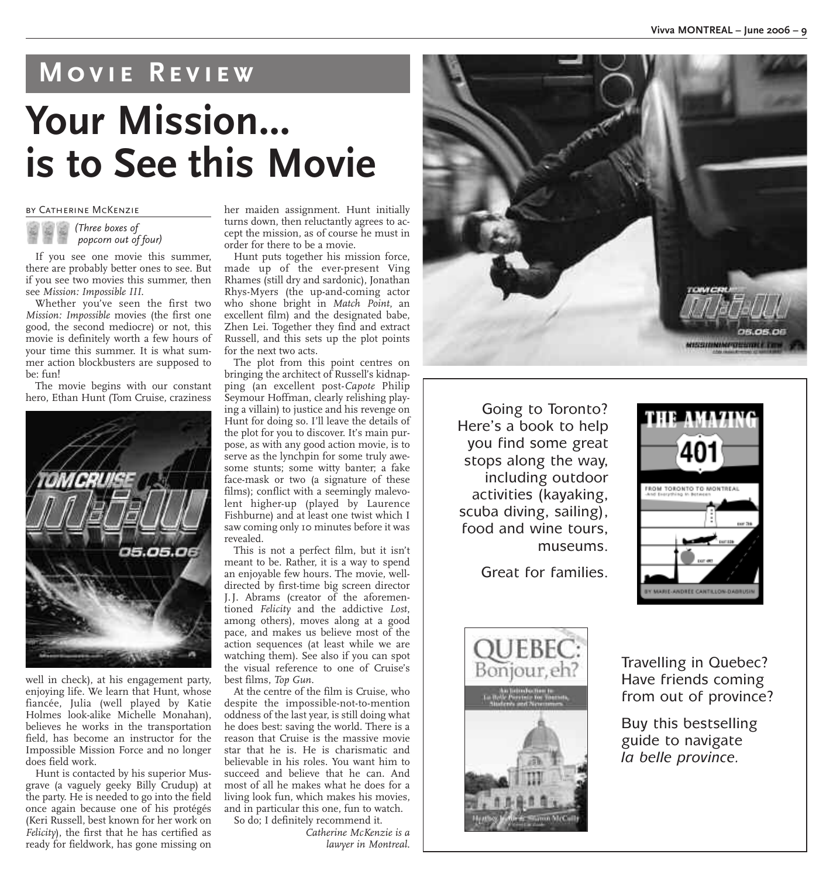## **Movie Review**

# **Your Mission... is to See this Movie**

#### by Catherine McKenzie



If you see one movie this summer, there are probably better ones to see. But if you see two movies this summer, then see *Mission: Impossible III*.

Whether you've seen the first two *Mission: Impossible* movies (the first one good, the second mediocre) or not, this movie is definitely worth a few hours of your time this summer. It is what summer action blockbusters are supposed to  $be$  fun!

The movie begins with our constant hero, Ethan Hunt (Tom Cruise, craziness



well in check), at his engagement party, enjoying life. We learn that Hunt, whose fiancée, Julia (well played by Katie Holmes look-alike Michelle Monahan), believes he works in the transportation field, has become an instructor for the Impossible Mission Force and no longer does field work.

Hunt is contacted by his superior Musgrave (a vaguely geeky Billy Crudup) at the party. He is needed to go into the field once again because one of his protégés (Keri Russell, best known for her work on *Felicity*), the first that he has certified as ready for fieldwork, has gone missing on

her maiden assignment. Hunt initially turns down, then reluctantly agrees to accept the mission, as of course he must in order for there to be a movie.

Hunt puts together his mission force, made up of the ever-present Ving Rhames (still dry and sardonic), Jonathan Rhys-Myers (the up-and-coming actor who shone bright in *Match Point*, an excellent film) and the designated babe, Zhen Lei. Together they find and extract Russell, and this sets up the plot points for the next two acts.

The plot from this point centres on bringing the architect of Russell's kidnapping (an excellent post-*Capote* Philip Seymour Hoffman, clearly relishing playing a villain) to justice and his revenge on Hunt for doing so. I'll leave the details of the plot for you to discover. It's main purpose, as with any good action movie, is to serve as the lynchpin for some truly awesome stunts; some witty banter; a fake face-mask or two (a signature of these films); conflict with a seemingly malevolent higher-up (played by Laurence Fishburne) and at least one twist which I saw coming only 10 minutes before it was revealed.

This is not a perfect film, but it isn't meant to be. Rather, it is a way to spend an enjoyable few hours. The movie, welldirected by first-time big screen director J.J. Abrams (creator of the aforementioned *Felicity* and the addictive *Lost*, among others), moves along at a good pace, and makes us believe most of the action sequences (at least while we are watching them). See also if you can spot the visual reference to one of Cruise's best films, *Top Gun*.

At the centre of the film is Cruise, who despite the impossible-not-to-mention oddness of the last year, is still doing what he does best: saving the world. There is a reason that Cruise is the massive movie star that he is. He is charismatic and believable in his roles. You want him to succeed and believe that he can. And most of all he makes what he does for a living look fun, which makes his movies, and in particular this one, fun to watch. So do; I definitely recommend it.

*Catherine McKenzie is a lawyer in Montreal.* <u>ortzestronomerszáraszt é 23</u>

Going to Toronto? Here's a book to help you find some great stops along the way, including outdoor activities (kayaking, scuba diving, sailing), food and wine tours, museums.

Great for families.





Travelling in Quebec? Have friends coming from out of province?

Buy this bestselling guide to navigate *la belle province.*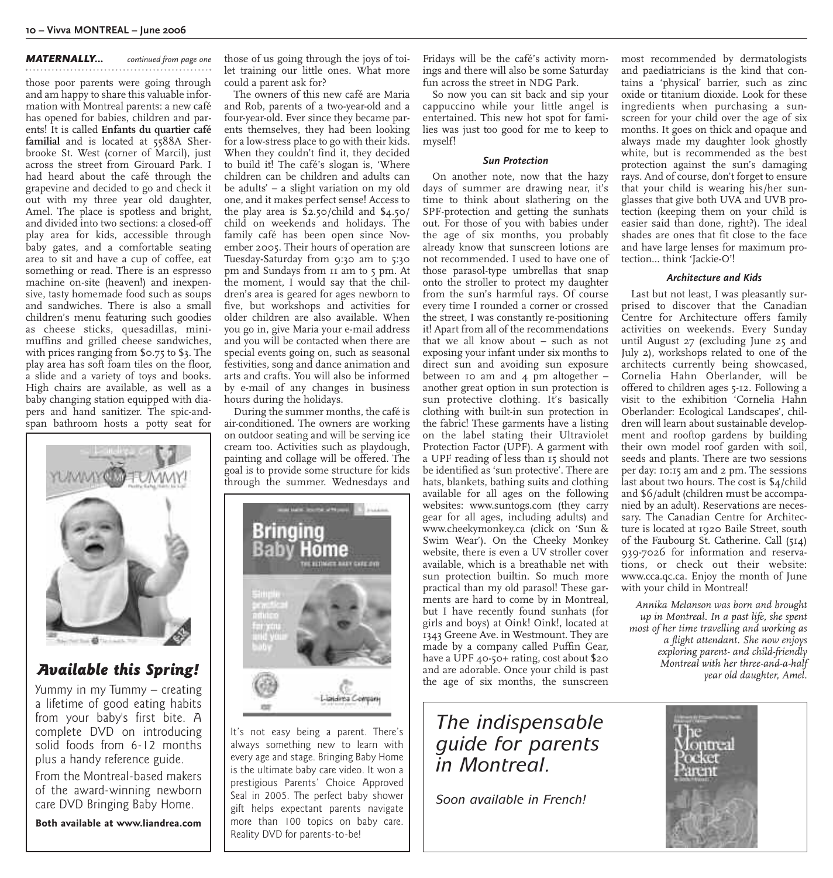#### *MATERNALLY... continued from page one*

those poor parents were going through and am happy to share this valuable information with Montreal parents: a new café has opened for babies, children and parents! It is called **Enfants du quartier café familial** and is located at 5588A Sherbrooke St. West (corner of Marcil), just across the street from Girouard Park. I had heard about the café through the grapevine and decided to go and check it out with my three year old daughter, Amel. The place is spotless and bright, and divided into two sections: a closed-off play area for kids, accessible through baby gates, and a comfortable seating area to sit and have a cup of coffee, eat something or read. There is an espresso machine on-site (heaven!) and inexpensive, tasty homemade food such as soups and sandwiches. There is also a small children's menu featuring such goodies as cheese sticks, quesadillas, minimuffins and grilled cheese sandwiches, with prices ranging from \$0.75 to \$3. The play area has soft foam tiles on the floor, a slide and a variety of toys and books. High chairs are available, as well as a baby changing station equipped with diapers and hand sanitizer. The spic-andspan bathroom hosts a potty seat for



### *Available this Spring!*

Yummy in my Tummy – creating a lifetime of good eating habits from your baby's first bite. A complete DVD on introducing solid foods from 6-12 months plus a handy reference guide.

From the Montreal-based makers of the award-winning newborn care DVD Bringing Baby Home.

**Both available at www.liandrea.com**

those of us going through the joys of toilet training our little ones. What more could a parent ask for?

The owners of this new café are Maria and Rob, parents of a two-year-old and a four-year-old. Ever since they became parents themselves, they had been looking for a low-stress place to go with their kids. When they couldn't find it, they decided to build it! The café's slogan is, 'Where children can be children and adults can be adults' – a slight variation on my old one, and it makes perfect sense! Access to the play area is \$2.50/child and \$4.50/ child on weekends and holidays. The family café has been open since November 2005. Their hours of operation are Tuesday-Saturday from 9:30 am to 5:30 pm and Sundays from 11 am to 5 pm. At the moment, I would say that the children's area is geared for ages newborn to five, but workshops and activities for older children are also available. When you go in, give Maria your e-mail address and you will be contacted when there are special events going on, such as seasonal festivities, song and dance animation and arts and crafts. You will also be informed by e-mail of any changes in business hours during the holidays.

During the summer months, the café is air-conditioned. The owners are working on outdoor seating and will be serving ice cream too. Activities such as playdough, painting and collage will be offered. The goal is to provide some structure for kids through the summer. Wednesdays and



It's not easy being a parent. There's always something new to learn with every age and stage. Bringing Baby Home is the ultimate baby care video. It won a prestigious Parents' Choice Approved Seal in 2005. The perfect baby shower gift helps expectant parents navigate more than 100 topics on baby care. Reality DVD for parents-to-be!

Fridays will be the café's activity mornings and there will also be some Saturday fun across the street in NDG Park.

So now you can sit back and sip your cappuccino while your little angel is entertained. This new hot spot for families was just too good for me to keep to myself!

#### *Sun Protection*

On another note, now that the hazy days of summer are drawing near, it's time to think about slathering on the SPF-protection and getting the sunhats out. For those of you with babies under the age of six months, you probably already know that sunscreen lotions are not recommended. I used to have one of those parasol-type umbrellas that snap onto the stroller to protect my daughter from the sun's harmful rays. Of course every time I rounded a corner or crossed the street, I was constantly re-positioning it! Apart from all of the recommendations that we all know about – such as not exposing your infant under six months to direct sun and avoiding sun exposure between 10 am and  $4$  pm altogether  $$ another great option in sun protection is sun protective clothing. It's basically clothing with built-in sun protection in the fabric! These garments have a listing on the label stating their Ultraviolet Protection Factor (UPF). A garment with a UPF reading of less than 15 should not be identified as 'sun protective'. There are hats, blankets, bathing suits and clothing available for all ages on the following websites: www.suntogs.com (they carry gear for all ages, including adults) and www.cheekymonkey.ca (click on 'Sun & Swim Wear'). On the Cheeky Monkey website, there is even a UV stroller cover available, which is a breathable net with sun protection builtin. So much more practical than my old parasol! These garments are hard to come by in Montreal, but I have recently found sunhats (for girls and boys) at Oink! Oink!, located at 1343 Greene Ave. in Westmount. They are made by a company called Puffin Gear, have a UPF 40-50+ rating, cost about \$20 and are adorable. Once your child is past the age of six months, the sunscreen

*The indispensable guide for parents in Montreal.*

*Soon available in French!*

most recommended by dermatologists and paediatricians is the kind that contains a 'physical' barrier, such as zinc oxide or titanium dioxide. Look for these ingredients when purchasing a sunscreen for your child over the age of six months. It goes on thick and opaque and always made my daughter look ghostly white, but is recommended as the best protection against the sun's damaging rays. And of course, don't forget to ensure that your child is wearing his/her sunglasses that give both UVA and UVB protection (keeping them on your child is easier said than done, right?). The ideal shades are ones that fit close to the face and have large lenses for maximum protection… think 'Jackie-O'!

#### *Architecture and Kids*

Last but not least, I was pleasantly surprised to discover that the Canadian Centre for Architecture offers family activities on weekends. Every Sunday until August 27 (excluding June 25 and July 2), workshops related to one of the architects currently being showcased, Cornelia Hahn Oberlander, will be offered to children ages 5-12. Following a visit to the exhibition 'Cornelia Hahn Oberlander: Ecological Landscapes', children will learn about sustainable development and rooftop gardens by building their own model roof garden with soil, seeds and plants. There are two sessions per day: 10:15 am and 2 pm. The sessions last about two hours. The cost is \$4/child and \$6/adult (children must be accompanied by an adult). Reservations are necessary. The Canadian Centre for Architecture is located at 1920 Baile Street, south of the Faubourg St. Catherine. Call (514) 939-7026 for information and reservations, or check out their website: www.cca.qc.ca. Enjoy the month of June with your child in Montreal!

*Annika Melanson was born and brought up in Montreal. In a past life, she spent most of her time travelling and working as a flight attendant. She now enjoys exploring parent- and child-friendly Montreal with her three-and-a-half year old daughter, Amel.*

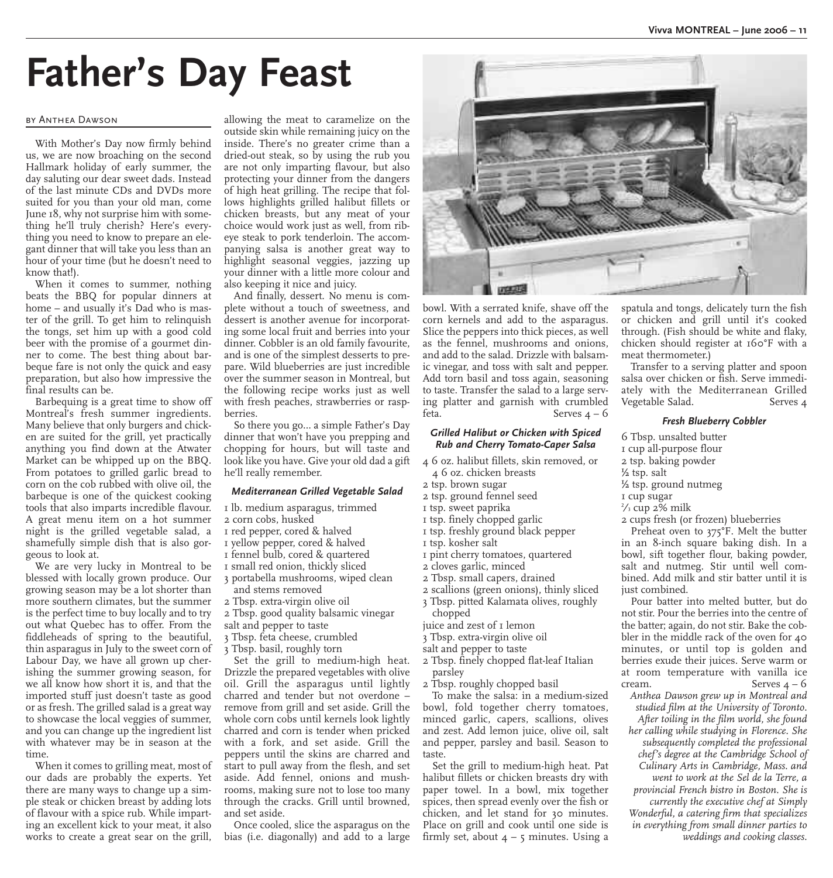# **Father's Day Feast**

#### by Anthea Dawson

With Mother's Day now firmly behind us, we are now broaching on the second Hallmark holiday of early summer, the day saluting our dear sweet dads. Instead of the last minute CDs and DVDs more suited for you than your old man, come June 18, why not surprise him with something he'll truly cherish? Here's everything you need to know to prepare an elegant dinner that will take you less than an hour of your time (but he doesn't need to know that!).

When it comes to summer, nothing beats the BBQ for popular dinners at home – and usually it's Dad who is master of the grill. To get him to relinquish the tongs, set him up with a good cold beer with the promise of a gourmet dinner to come. The best thing about barbeque fare is not only the quick and easy preparation, but also how impressive the final results can be.

Barbequing is a great time to show off Montreal's fresh summer ingredients. Many believe that only burgers and chicken are suited for the grill, yet practically anything you find down at the Atwater Market can be whipped up on the BBQ. From potatoes to grilled garlic bread to corn on the cob rubbed with olive oil, the barbeque is one of the quickest cooking tools that also imparts incredible flavour. A great menu item on a hot summer night is the grilled vegetable salad, a shamefully simple dish that is also gorgeous to look at.

We are very lucky in Montreal to be blessed with locally grown produce. Our growing season may be a lot shorter than more southern climates, but the summer is the perfect time to buy locally and to try out what Quebec has to offer. From the fiddleheads of spring to the beautiful, thin asparagus in July to the sweet corn of Labour Day, we have all grown up cherishing the summer growing season, for we all know how short it is, and that the imported stuff just doesn't taste as good or as fresh. The grilled salad is a great way to showcase the local veggies of summer, and you can change up the ingredient list with whatever may be in season at the time.

When it comes to grilling meat, most of our dads are probably the experts. Yet there are many ways to change up a simple steak or chicken breast by adding lots of flavour with a spice rub. While imparting an excellent kick to your meat, it also works to create a great sear on the grill,

allowing the meat to caramelize on the outside skin while remaining juicy on the inside. There's no greater crime than a dried-out steak, so by using the rub you are not only imparting flavour, but also protecting your dinner from the dangers of high heat grilling. The recipe that follows highlights grilled halibut fillets or chicken breasts, but any meat of your choice would work just as well, from ribeye steak to pork tenderloin. The accompanying salsa is another great way to highlight seasonal veggies, jazzing up your dinner with a little more colour and also keeping it nice and juicy.

And finally, dessert. No menu is complete without a touch of sweetness, and dessert is another avenue for incorporating some local fruit and berries into your dinner. Cobbler is an old family favourite, and is one of the simplest desserts to prepare. Wild blueberries are just incredible over the summer season in Montreal, but the following recipe works just as well with fresh peaches, strawberries or raspberries.

So there you go… a simple Father's Day dinner that won't have you prepping and chopping for hours, but will taste and look like you have. Give your old dad a gift he'll really remember.

#### *Mediterranean Grilled Vegetable Salad*

- 1 lb. medium asparagus, trimmed
- 2 corn cobs, husked
- 1 red pepper, cored & halved
- 1 yellow pepper, cored & halved
- 1 fennel bulb, cored & quartered
- 1 small red onion, thickly sliced
- 3 portabella mushrooms, wiped clean and stems removed
- 2 Tbsp. extra-virgin olive oil
- 2 Tbsp. good quality balsamic vinegar
- salt and pepper to taste
- 3 Tbsp. feta cheese, crumbled
- 3 Tbsp. basil, roughly torn

Set the grill to medium-high heat. Drizzle the prepared vegetables with olive oil. Grill the asparagus until lightly charred and tender but not overdone – remove from grill and set aside. Grill the whole corn cobs until kernels look lightly charred and corn is tender when pricked with a fork, and set aside. Grill the peppers until the skins are charred and start to pull away from the flesh, and set aside. Add fennel, onions and mushrooms, making sure not to lose too many through the cracks. Grill until browned, and set aside.

Once cooled, slice the asparagus on the bias (i.e. diagonally) and add to a large



bowl. With a serrated knife, shave off the corn kernels and add to the asparagus. Slice the peppers into thick pieces, as well as the fennel, mushrooms and onions, and add to the salad. Drizzle with balsamic vinegar, and toss with salt and pepper. Add torn basil and toss again, seasoning to taste. Transfer the salad to a large serving platter and garnish with crumbled feta. Serves  $4 - 6$ 

#### *Grilled Halibut or Chicken with Spiced Rub and Cherry Tomato-Caper Salsa*

- 4 6 oz. halibut fillets, skin removed, or 4 6 oz. chicken breasts
- 2 tsp. brown sugar
- 2 tsp. ground fennel seed
- 1 tsp. sweet paprika
- 1 tsp. finely chopped garlic 1 tsp. freshly ground black pepper
- 1 tsp. kosher salt
- 1 pint cherry tomatoes, quartered
- 2 cloves garlic, minced
- 2 Tbsp. small capers, drained
- 2 scallions (green onions), thinly sliced
- 3 Tbsp. pitted Kalamata olives, roughly
- chopped
- juice and zest of 1 lemon
- 3 Tbsp. extra-virgin olive oil
- salt and pepper to taste
- 2 Tbsp. finely chopped flat-leaf Italian parsley
- 2 Tbsp. roughly chopped basil

To make the salsa: in a medium-sized bowl, fold together cherry tomatoes, minced garlic, capers, scallions, olives and zest. Add lemon juice, olive oil, salt and pepper, parsley and basil. Season to taste.

Set the grill to medium-high heat. Pat halibut fillets or chicken breasts dry with paper towel. In a bowl, mix together spices, then spread evenly over the fish or chicken, and let stand for 30 minutes. Place on grill and cook until one side is firmly set, about  $4 - 5$  minutes. Using a

spatula and tongs, delicately turn the fish or chicken and grill until it's cooked through. (Fish should be white and flaky, chicken should register at 160°F with a meat thermometer.)

Transfer to a serving platter and spoon salsa over chicken or fish. Serve immediately with the Mediterranean Grilled Vegetable Salad. Serves 4

#### *Fresh Blueberry Cobbler*

- 6 Tbsp. unsalted butter
- 1 cup all-purpose flour
- 2 tsp. baking powder
- $\frac{1}{2}$  tsp. salt
- $\frac{1}{2}$  tsp. ground nutmeg
- 1 cup sugar
- 2 ⁄3 cup 2% milk
- 2 cups fresh (or frozen) blueberries

Preheat oven to 375°F. Melt the butter in an 8-inch square baking dish. In a bowl, sift together flour, baking powder, salt and nutmeg. Stir until well combined. Add milk and stir batter until it is just combined.

Pour batter into melted butter, but do not stir. Pour the berries into the centre of the batter; again, do not stir. Bake the cobbler in the middle rack of the oven for 40 minutes, or until top is golden and berries exude their juices. Serve warm or at room temperature with vanilla ice cream. Serves  $4 - 6$ 

*Anthea Dawson grew up in Montreal and studied film at the University of Toronto. After toiling in the film world, she found her calling while studying in Florence. She subsequently completed the professional chef's degree at the Cambridge School of Culinary Arts in Cambridge, Mass. and went to work at the Sel de la Terre, a provincial French bistro in Boston. She is currently the executive chef at Simply Wonderful, a catering firm that specializes in everything from small dinner parties to weddings and cooking classes.*